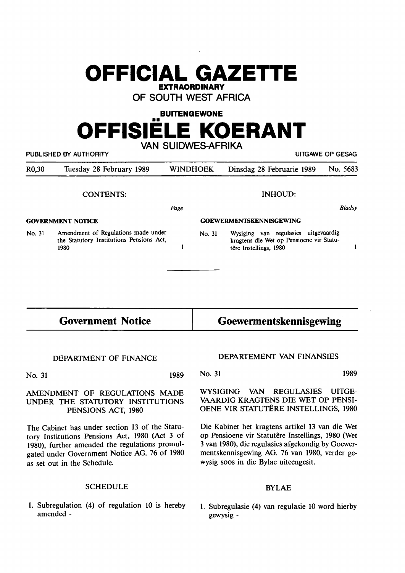# **OFFICIAL GAZETTE EXTRAORDINARY**

**OF SOUTH WEST AFRICA** 

**BUITENGEWONE**  •• **OFFISIELE KOERANT** 

**VAN SUIDWES-AFRIKA**  PUBLISHED BY AUTHORITY **AUTHORITY Example 20 and 20 and 20 and 20 and 20 and 20 and 20 and 20 and 20 and 20 and 20 and 20 and 20 and 20 and 20 and 20 and 20 and 20 and 20 and 20 and 20 and 20 and 20 and 20 and 20 and 20** R0,30 Tuesday 28 February 1989 WINDHOEK Dinsdag 28 Februarie 1989 No. 5683 CONTENTS: INHOUD: *Bladsy*  Page **GOVERNMENT NOTICE GOEWERMENTSKENNISGEWING**  No. 31 Amendment of Regulations made under No. 31 Wysiging van regulasies uitgevaardig the Statutory Institutions Pensions Act, kragtens die Wet op Pensioene vir Statu- $\mathbf{1}$  $\mathbf{1}$ 1980 têre Instellings, 1980

**1989** 

# **Government Notice**

# **Goewermentskennisgewing·**

#### **DEPARTMENT OF FINANCE**

**No. 31** 

#### **AMENDMENT OF REGULATIONS MADE UNDER THE STATU10RY INSTITUTIONS PENSIONS ACT, 1980**

The Cabinet has under section 13 of the Statutory Institutions Pensions Act, 1980 (Act 3 of 1980), further amended the regulations promulgated under Government Notice AG. 76 of 1980 as set out in the Schedule.

## **SCHEDULE**

1. Subregulation **(4)** of regulation 10 is hereby amended -

## **DEPARTEMENT VAN FINANSIES**

**No. 31 1989** 

**WYSIGING VAN REGULASIES UITGE-VAARDIG KRAGTENS DIE WET OP PENSI-OENE VIR STATUTÊRE INSTELLINGS, 1980** 

Die Kabinet het kragtens artikel 13 van die Wet op Pensioene vir Statutêre Instellings, 1980 (Wet 3 van 1980), die regulasies afgekondig by Goewermentskennisgewing AG. 76 van 1980, verder gewysig soos in die Bylae uiteengesit.

### BYLAE

1. Subregulasie (4) van regulasie 10 word hierby gewysig -